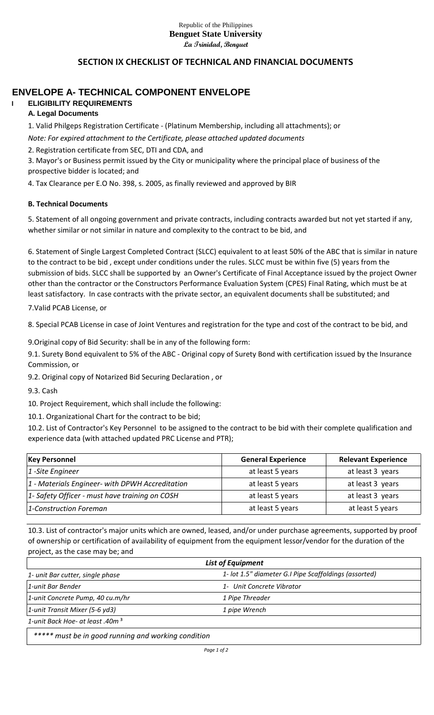#### Republic of the Philippines **Benguet State University La Trinidad, Benguet**

## **SECTION IX CHECKLIST OF TECHNICAL AND FINANCIAL DOCUMENTS**

# **ENVELOPE A- TECHNICAL COMPONENT ENVELOPE**

#### **I ELIGIBILITY REQUIREMENTS A. Legal Documents**

1. Valid Philgeps Registration Certificate - (Platinum Membership, including all attachments); or *Note: For expired attachment to the Certificate, please attached updated documents*

2. Registration certificate from SEC, DTI and CDA, and

3. Mayor's or Business permit issued by the City or municipality where the principal place of business of the prospective bidder is located; and

4. Tax Clearance per E.O No. 398, s. 2005, as finally reviewed and approved by BIR

## **B. Technical Documents**

5. Statement of all ongoing government and private contracts, including contracts awarded but not yet started if any, whether similar or not similar in nature and complexity to the contract to be bid, and

6. Statement of Single Largest Completed Contract (SLCC) equivalent to at least 50% of the ABC that is similar in nature to the contract to be bid , except under conditions under the rules. SLCC must be within five (5) years from the submission of bids. SLCC shall be supported by an Owner's Certificate of Final Acceptance issued by the project Owner other than the contractor or the Constructors Performance Evaluation System (CPES) Final Rating, which must be at least satisfactory. In case contracts with the private sector, an equivalent documents shall be substituted; and 7.Valid PCAB License, or

8. Special PCAB License in case of Joint Ventures and registration for the type and cost of the contract to be bid, and

9.Original copy of Bid Security: shall be in any of the following form:

9.1. Surety Bond equivalent to 5% of the ABC - Original copy of Surety Bond with certification issued by the Insurance Commission, or

9.2. Original copy of Notarized Bid Securing Declaration , or

9.3. Cash

10. Project Requirement, which shall include the following:

10.1. Organizational Chart for the contract to be bid;

10.2. List of Contractor's Key Personnel to be assigned to the contract to be bid with their complete qualification and experience data (with attached updated PRC License and PTR);

| <b>Key Personnel</b>                               | <b>General Experience</b> | <b>Relevant Experience</b> |
|----------------------------------------------------|---------------------------|----------------------------|
| $ 1 - \text{Site Engineer} $                       | at least 5 years          | at least 3 years           |
| $ 1$ - Materials Engineer- with DPWH Accreditation | at least 5 years          | at least 3 years           |
| 1- Safety Officer - must have training on COSH     | at least 5 years          | at least 3 years           |
| 1-Construction Foreman                             | at least 5 years          | at least 5 years           |

10.3. List of contractor's major units which are owned, leased, and/or under purchase agreements, supported by proof of ownership or certification of availability of equipment from the equipment lessor/vendor for the duration of the project, as the case may be; and

| <b>List of Equipment</b>                                            |                                                       |  |
|---------------------------------------------------------------------|-------------------------------------------------------|--|
| 1- unit Bar cutter, single phase                                    | 1- lot 1.5" diameter G.I Pipe Scaffoldings (assorted) |  |
| 1-unit Bar Bender                                                   | 1- Unit Concrete Vibrator                             |  |
| 1-unit Concrete Pump, 40 cu.m/hr                                    | 1 Pipe Threader                                       |  |
| 1-unit Transit Mixer (5-6 yd3)                                      | 1 pipe Wrench                                         |  |
| 1-unit Back Hoe- at least .40m <sup>3</sup>                         |                                                       |  |
| ****** accepted a to see all questions and consultance and distance |                                                       |  |

*\*\*\*\*\* must be in good running and working condition*